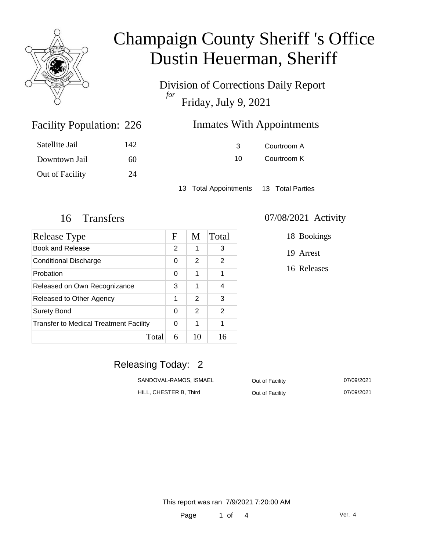

Division of Corrections Daily Report *for* Friday, July 9, 2021

| 226 | <b>Inmates With Appointments</b> |
|-----|----------------------------------|
|-----|----------------------------------|

| Satellite Jail  | 142 |
|-----------------|-----|
| Downtown Jail   | 60  |
| Out of Facility | 24  |

Facility Population: 226

3 Courtroom A 10 Courtroom K

13 Total Appointments 13 Total Parties

| <b>Release Type</b>                           | F | M  | Total          |
|-----------------------------------------------|---|----|----------------|
| <b>Book and Release</b>                       | 2 | 1  | 3              |
| <b>Conditional Discharge</b>                  |   | 2  | 2              |
| Probation                                     | 0 | 1  | 1              |
| Released on Own Recognizance                  |   | 1  | 4              |
| Released to Other Agency                      |   | 2  | 3              |
| Surety Bond                                   |   | 2  | $\overline{2}$ |
| <b>Transfer to Medical Treatment Facility</b> |   | 1  | 1              |
| Total                                         | 6 | 10 | 16             |

#### 16 Transfers 07/08/2021 Activity

18 Bookings

19 Arrest

16 Releases

### Releasing Today: 2

| SANDOVAL-RAMOS, ISMAEL | Out of Facility | 07/09/2021 |
|------------------------|-----------------|------------|
| HILL, CHESTER B, Third | Out of Facility | 07/09/2021 |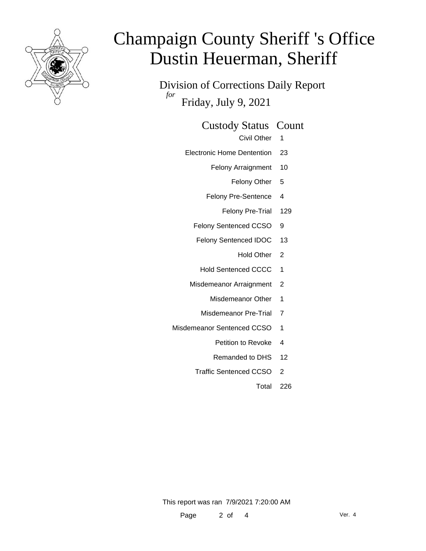

Division of Corrections Daily Report *for* Friday, July 9, 2021

#### Custody Status Count

- Civil Other 1
- Electronic Home Dentention 23
	- Felony Arraignment 10
		- Felony Other 5
	- Felony Pre-Sentence 4
		- Felony Pre-Trial 129
	- Felony Sentenced CCSO 9
	- Felony Sentenced IDOC 13
		- Hold Other 2
		- Hold Sentenced CCCC 1
	- Misdemeanor Arraignment 2
		- Misdemeanor Other 1
		- Misdemeanor Pre-Trial 7
- Misdemeanor Sentenced CCSO 1
	- Petition to Revoke 4
	- Remanded to DHS 12
	- Traffic Sentenced CCSO 2
		- Total 226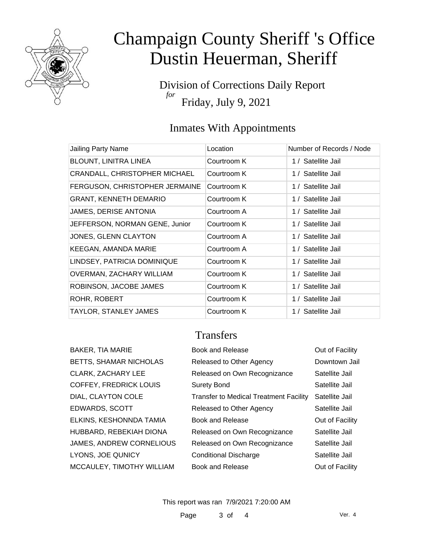

Division of Corrections Daily Report *for* Friday, July 9, 2021

### Inmates With Appointments

| Jailing Party Name                   | Location    | Number of Records / Node |
|--------------------------------------|-------------|--------------------------|
| <b>BLOUNT, LINITRA LINEA</b>         | Courtroom K | 1 / Satellite Jail       |
| <b>CRANDALL, CHRISTOPHER MICHAEL</b> | Courtroom K | 1 / Satellite Jail       |
| FERGUSON, CHRISTOPHER JERMAINE       | Courtroom K | 1 / Satellite Jail       |
| <b>GRANT, KENNETH DEMARIO</b>        | Courtroom K | 1 / Satellite Jail       |
| <b>JAMES, DERISE ANTONIA</b>         | Courtroom A | 1 / Satellite Jail       |
| JEFFERSON, NORMAN GENE, Junior       | Courtroom K | 1 / Satellite Jail       |
| JONES, GLENN CLAYTON                 | Courtroom A | 1 / Satellite Jail       |
| KEEGAN, AMANDA MARIE                 | Courtroom A | 1 / Satellite Jail       |
| LINDSEY, PATRICIA DOMINIQUE          | Courtroom K | 1 / Satellite Jail       |
| OVERMAN, ZACHARY WILLIAM             | Courtroom K | 1 / Satellite Jail       |
| ROBINSON, JACOBE JAMES               | Courtroom K | 1 / Satellite Jail       |
| ROHR, ROBERT                         | Courtroom K | 1 / Satellite Jail       |
| TAYLOR, STANLEY JAMES                | Courtroom K | 1 / Satellite Jail       |

### **Transfers**

| BAKER, TIA MARIE              | <b>Book and Release</b>                       | Out of Facility |
|-------------------------------|-----------------------------------------------|-----------------|
| <b>BETTS, SHAMAR NICHOLAS</b> | Released to Other Agency                      | Downtown Jail   |
| CLARK, ZACHARY LEE            | Released on Own Recognizance                  | Satellite Jail  |
| COFFEY, FREDRICK LOUIS        | <b>Surety Bond</b>                            | Satellite Jail  |
| DIAL, CLAYTON COLE            | <b>Transfer to Medical Treatment Facility</b> | Satellite Jail  |
| EDWARDS, SCOTT                | Released to Other Agency                      | Satellite Jail  |
| ELKINS, KESHONNDA TAMIA       | Book and Release                              | Out of Facility |
| HUBBARD, REBEKIAH DIONA       | Released on Own Recognizance                  | Satellite Jail  |
| JAMES, ANDREW CORNELIOUS      | Released on Own Recognizance                  | Satellite Jail  |
| LYONS, JOE QUNICY             | <b>Conditional Discharge</b>                  | Satellite Jail  |
| MCCAULEY, TIMOTHY WILLIAM     | Book and Release                              | Out of Facility |
|                               |                                               |                 |

This report was ran 7/9/2021 7:20:00 AM